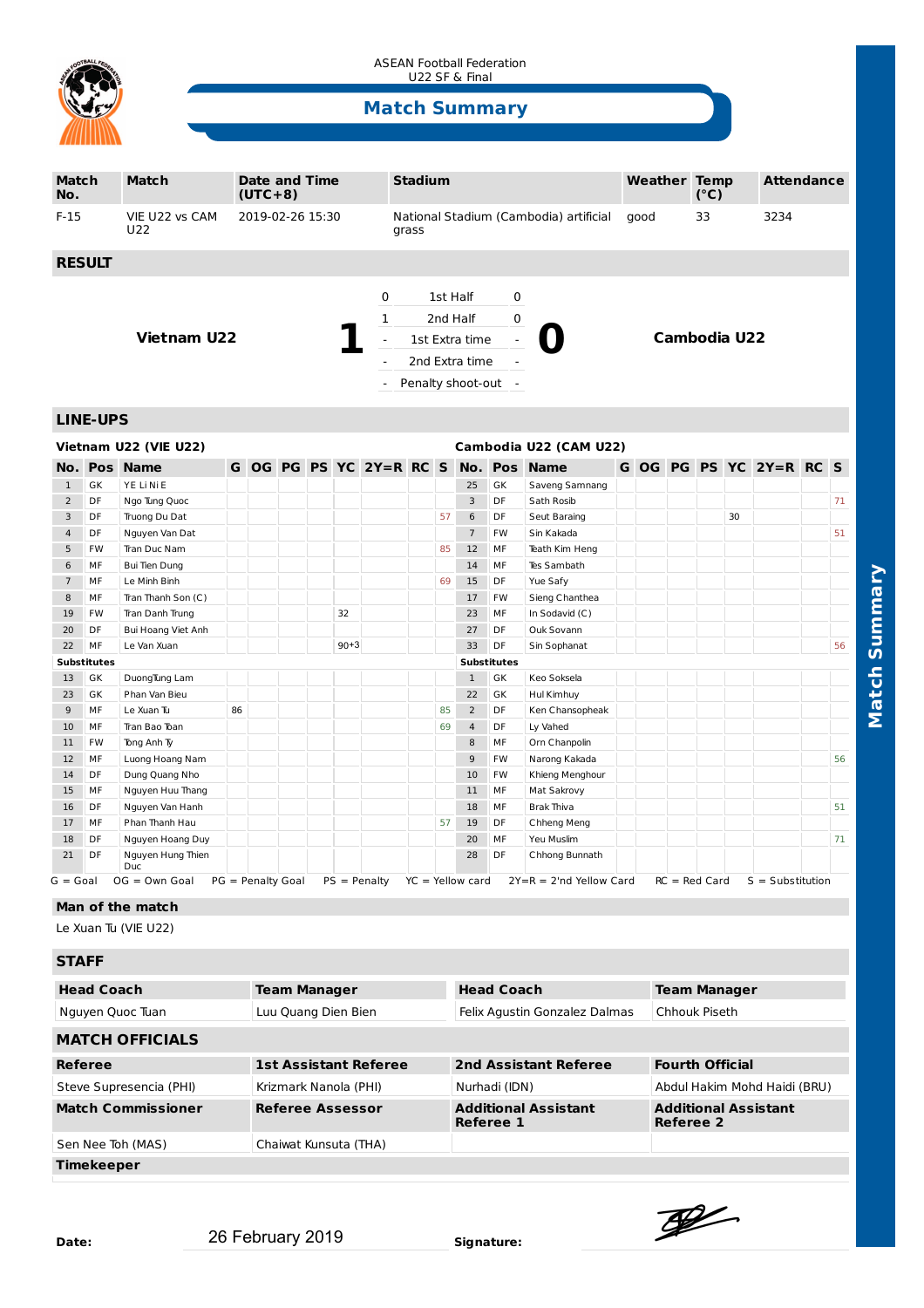

ASEAN Football Federation U22 SF & Final

## **Match Summary**

| Match<br>No.                                    |                    | <b>Match</b>                      | $(UTC+8)$         | <b>Date and Time</b>                                                             |                                                                                                                           |          |                             | <b>Stadium</b>                                  |                     |                    |                    |                           |            | <b>Weather Temp</b> |      | (°C)            |    | <b>Attendance</b>      |  |    |
|-------------------------------------------------|--------------------|-----------------------------------|-------------------|----------------------------------------------------------------------------------|---------------------------------------------------------------------------------------------------------------------------|----------|-----------------------------|-------------------------------------------------|---------------------|--------------------|--------------------|---------------------------|------------|---------------------|------|-----------------|----|------------------------|--|----|
| $F-15$                                          |                    | VIE U22 vs CAM<br>U <sub>22</sub> | 2019-02-26 15:30  |                                                                                  |                                                                                                                           |          |                             | National Stadium (Cambodia) artificial<br>grass |                     |                    |                    |                           | 33<br>good |                     | 3234 |                 |    |                        |  |    |
|                                                 | <b>RESULT</b>      |                                   |                   |                                                                                  |                                                                                                                           |          |                             |                                                 |                     |                    |                    |                           |            |                     |      |                 |    |                        |  |    |
| <b>Vietnam U22</b>                              |                    |                                   |                   | 0<br>1<br>$\overline{\phantom{a}}$<br>$\blacksquare$<br>$\overline{\phantom{a}}$ | 1st Half<br>0<br>0<br>2nd Half<br>1st Extra time<br>$\overline{a}$<br>2nd Extra time<br>÷,<br>Penalty shoot-out<br>$\sim$ |          |                             |                                                 | <b>Cambodia U22</b> |                    |                    |                           |            |                     |      |                 |    |                        |  |    |
| <b>LINE-UPS</b>                                 |                    |                                   |                   |                                                                                  |                                                                                                                           |          |                             |                                                 |                     |                    |                    |                           |            |                     |      |                 |    |                        |  |    |
| Vietnam U22 (VIE U22)<br>Cambodia U22 (CAM U22) |                    |                                   |                   |                                                                                  |                                                                                                                           |          |                             |                                                 |                     |                    |                    |                           |            |                     |      |                 |    |                        |  |    |
| No.                                             | <b>Pos</b>         | <b>Name</b>                       |                   |                                                                                  |                                                                                                                           |          | G OG PG PS YC $2Y = R$ RC S |                                                 |                     | No.                | <b>Pos</b>         | <b>Name</b>               |            |                     |      |                 |    | GOG PG PS YC 2Y=R RC S |  |    |
| $\mathbf{1}$                                    | GK                 | YE Li Ni E                        |                   |                                                                                  |                                                                                                                           |          |                             |                                                 |                     | 25                 | GK                 | Saveng Samnang            |            |                     |      |                 |    |                        |  |    |
| $\overline{2}$                                  | DF                 | Ngo Tung Quoc                     |                   |                                                                                  |                                                                                                                           |          |                             |                                                 |                     | 3                  | DF                 | Sath Rosib                |            |                     |      |                 |    |                        |  | 71 |
| 3                                               | DF                 | Truong Du Dat                     |                   |                                                                                  |                                                                                                                           |          |                             |                                                 | 57                  | 6                  | DF                 | Seut Baraing              |            |                     |      |                 | 30 |                        |  |    |
| $\overline{4}$                                  | DF                 | Nguyen Van Dat                    |                   |                                                                                  |                                                                                                                           |          |                             |                                                 |                     | $\overline{7}$     | FW                 | Sin Kakada                |            |                     |      |                 |    |                        |  | 51 |
| 5                                               | FW                 | Tran Duc Nam                      |                   |                                                                                  |                                                                                                                           |          |                             |                                                 | 85                  | 12                 | MF                 | Teath Kim Heng            |            |                     |      |                 |    |                        |  |    |
| 6                                               | МF                 | <b>Bui Tien Dung</b>              |                   |                                                                                  |                                                                                                                           |          |                             |                                                 |                     | 14                 | MF                 | Tes Sambath               |            |                     |      |                 |    |                        |  |    |
| $\overline{7}$                                  | MF                 | Le Minh Binh                      |                   |                                                                                  |                                                                                                                           |          |                             |                                                 | 69                  | 15                 | DF                 | Yue Safy                  |            |                     |      |                 |    |                        |  |    |
| 8                                               | MF                 | Tran Thanh Son (C)                |                   |                                                                                  |                                                                                                                           |          |                             |                                                 |                     | 17                 | FW                 | Sieng Chanthea            |            |                     |      |                 |    |                        |  |    |
| 19                                              | <b>FW</b>          | Tran Danh Trung                   |                   |                                                                                  |                                                                                                                           | 32       |                             |                                                 |                     | 23                 | MF                 | In Sodavid (C)            |            |                     |      |                 |    |                        |  |    |
| 20                                              | DF                 | Bui Hoang Viet Anh                |                   |                                                                                  |                                                                                                                           |          |                             |                                                 |                     | 27                 | DF                 | Ouk Sovann                |            |                     |      |                 |    |                        |  |    |
| 22                                              | MF                 | Le Van Xuan                       |                   |                                                                                  |                                                                                                                           | $90 + 3$ |                             |                                                 |                     | 33                 | DF                 | Sin Sophanat              |            |                     |      |                 |    |                        |  | 56 |
|                                                 | <b>Substitutes</b> |                                   |                   |                                                                                  |                                                                                                                           |          |                             |                                                 |                     |                    | <b>Substitutes</b> |                           |            |                     |      |                 |    |                        |  |    |
| 13                                              | GK                 | DuongTung Lam                     |                   |                                                                                  |                                                                                                                           |          |                             |                                                 |                     | $\mathbf{1}$       | GK                 | Keo Soksela               |            |                     |      |                 |    |                        |  |    |
| 23                                              | GK                 | Phan Van Bieu                     |                   |                                                                                  |                                                                                                                           |          |                             |                                                 |                     | 22                 | GK                 | Hul Kimhuy                |            |                     |      |                 |    |                        |  |    |
| 9                                               | MF                 | Le Xuan Tu                        | 86                |                                                                                  |                                                                                                                           |          |                             |                                                 | 85                  | $\overline{2}$     | DF                 | Ken Chansopheak           |            |                     |      |                 |    |                        |  |    |
| 10                                              | MF                 | Tran Bao Toan                     |                   |                                                                                  |                                                                                                                           |          |                             |                                                 | 69                  | $\overline{4}$     | DF                 | Ly Vahed                  |            |                     |      |                 |    |                        |  |    |
| 11                                              | <b>FW</b>          | Tong Anh Ty                       |                   |                                                                                  |                                                                                                                           |          |                             |                                                 |                     | 8                  | MF                 | Orn Chanpolin             |            |                     |      |                 |    |                        |  |    |
| 12                                              | MF                 | Luong Hoang Nam                   |                   |                                                                                  |                                                                                                                           |          |                             |                                                 |                     | 9                  | <b>FW</b>          | Narong Kakada             |            |                     |      |                 |    |                        |  | 56 |
| 14                                              | DF                 | Dung Quang Nho                    |                   |                                                                                  |                                                                                                                           |          |                             |                                                 |                     | 10                 | FW                 | Khieng Menghour           |            |                     |      |                 |    |                        |  |    |
| 15                                              | MF                 | Nguyen Huu Thang                  |                   |                                                                                  |                                                                                                                           |          |                             |                                                 |                     | 11                 | MF                 | Mat Sakrovy               |            |                     |      |                 |    |                        |  |    |
| 16                                              | DF                 | Nguyen Van Hanh                   |                   |                                                                                  |                                                                                                                           |          |                             |                                                 |                     | 18                 | MF                 | Brak Thiva                |            |                     |      |                 |    |                        |  | 51 |
| 17                                              | MF                 | Phan Thanh Hau                    |                   |                                                                                  |                                                                                                                           |          |                             |                                                 | 57                  | 19                 | DF                 | Chheng Meng               |            |                     |      |                 |    |                        |  |    |
| 18                                              | DF                 | Nguyen Hoang Duy                  |                   |                                                                                  |                                                                                                                           |          |                             |                                                 |                     | 20                 | MF                 | Yeu Muslim                |            |                     |      |                 |    |                        |  | 71 |
| 21                                              | DF                 | Nguyen Hung Thien<br>Duc          |                   |                                                                                  |                                                                                                                           |          |                             |                                                 |                     | 28                 | DF                 | Chhong Bunnath            |            |                     |      |                 |    |                        |  |    |
| G = Goal                                        |                    | $OG = Own Goal$                   | PG = Penalty Goal |                                                                                  |                                                                                                                           |          | $PS = Penalty$              |                                                 |                     | $YC = Yellow card$ |                    | $2Y=R = 2'nd$ Yellow Card |            |                     |      | $RC = Red Card$ |    | $S = Substitution$     |  |    |
| Man of the match                                |                    |                                   |                   |                                                                                  |                                                                                                                           |          |                             |                                                 |                     |                    |                    |                           |            |                     |      |                 |    |                        |  |    |
| Le Xuan Tu (VIE U22)                            |                    |                                   |                   |                                                                                  |                                                                                                                           |          |                             |                                                 |                     |                    |                    |                           |            |                     |      |                 |    |                        |  |    |
|                                                 |                    |                                   |                   |                                                                                  |                                                                                                                           |          |                             |                                                 |                     |                    |                    |                           |            |                     |      |                 |    |                        |  |    |

## **STAFF**

| <b>Head Coach</b>         | <b>Team Manager</b>          | <b>Head Coach</b>                        | <b>Team Manager</b>                      |  |  |  |  |  |  |
|---------------------------|------------------------------|------------------------------------------|------------------------------------------|--|--|--|--|--|--|
| Nguyen Quoc Tuan          | Luu Quang Dien Bien          | Felix Agustin Gonzalez Dalmas            | Chhouk Piseth                            |  |  |  |  |  |  |
| <b>MATCH OFFICIALS</b>    |                              |                                          |                                          |  |  |  |  |  |  |
| Referee                   | <b>1st Assistant Referee</b> | 2nd Assistant Referee                    | <b>Fourth Official</b>                   |  |  |  |  |  |  |
| Steve Supresencia (PHI)   | Krizmark Nanola (PHI)        | Nurhadi (IDN)                            | Abdul Hakim Mohd Haidi (BRU)             |  |  |  |  |  |  |
| <b>Match Commissioner</b> | <b>Referee Assessor</b>      | <b>Additional Assistant</b><br>Referee 1 | <b>Additional Assistant</b><br>Referee 2 |  |  |  |  |  |  |
| Sen Nee Toh (MAS)         | Chaiwat Kunsuta (THA)        |                                          |                                          |  |  |  |  |  |  |
| <b>Timekeeper</b>         |                              |                                          |                                          |  |  |  |  |  |  |

 $\mathscr{L}$ 

**Match Summary**